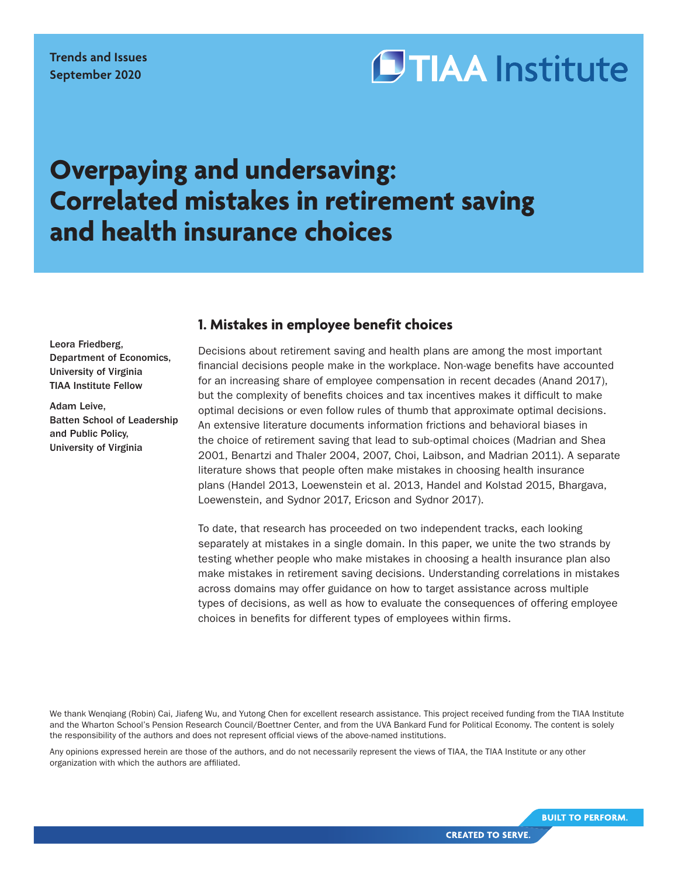# **OTIAA** Institute

# **Overpaying and undersaving: Correlated mistakes in retirement saving and health insurance choices**

#### Leora Friedberg, Department of Economics, University of Virginia TIAA Institute Fellow

Adam Leive, Batten School of Leadership and Public Policy, University of Virginia

# **1. Mistakes in employee benefit choices**

Decisions about retirement saving and health plans are among the most important financial decisions people make in the workplace. Non-wage benefits have accounted for an increasing share of employee compensation in recent decades (Anand 2017), but the complexity of benefits choices and tax incentives makes it difficult to make optimal decisions or even follow rules of thumb that approximate optimal decisions. An extensive literature documents information frictions and behavioral biases in the choice of retirement saving that lead to sub-optimal choices (Madrian and Shea 2001, Benartzi and Thaler 2004, 2007, Choi, Laibson, and Madrian 2011). A separate literature shows that people often make mistakes in choosing health insurance plans (Handel 2013, Loewenstein et al. 2013, Handel and Kolstad 2015, Bhargava, Loewenstein, and Sydnor 2017, Ericson and Sydnor 2017).

To date, that research has proceeded on two independent tracks, each looking separately at mistakes in a single domain. In this paper, we unite the two strands by testing whether people who make mistakes in choosing a health insurance plan also make mistakes in retirement saving decisions. Understanding correlations in mistakes across domains may offer guidance on how to target assistance across multiple types of decisions, as well as how to evaluate the consequences of offering employee choices in benefits for different types of employees within firms.

We thank Wenqiang (Robin) Cai, Jiafeng Wu, and Yutong Chen for excellent research assistance. This project received funding from the TIAA Institute and the Wharton School's Pension Research Council/Boettner Center, and from the UVA Bankard Fund for Political Economy. The content is solely the responsibility of the authors and does not represent official views of the above-named institutions.

Any opinions expressed herein are those of the authors, and do not necessarily represent the views of TIAA, the TIAA Institute or any other organization with which the authors are affiliated.

**BUILT TO PERFORM.**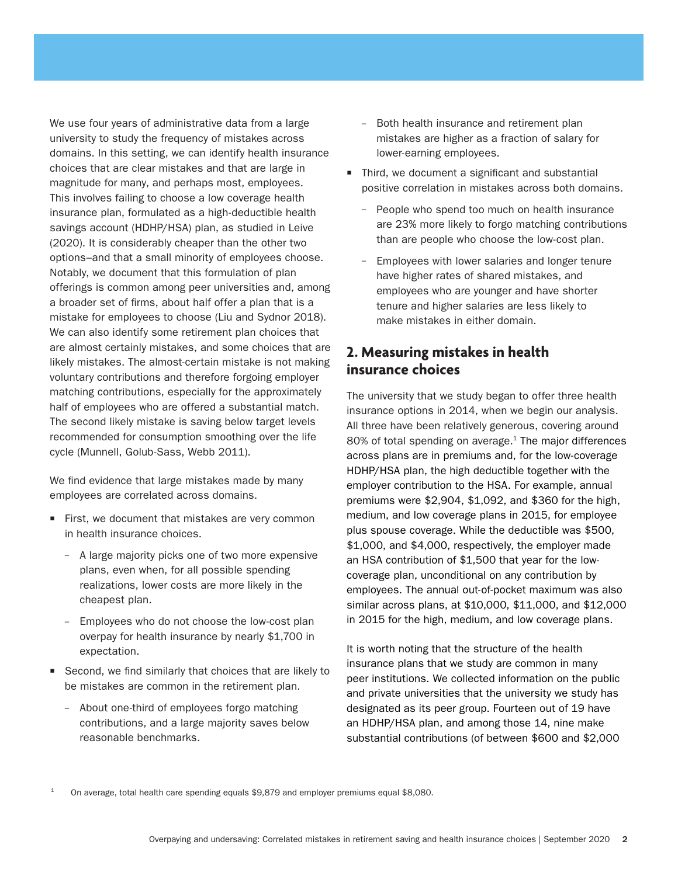We use four years of administrative data from a large university to study the frequency of mistakes across domains. In this setting, we can identify health insurance choices that are clear mistakes and that are large in magnitude for many, and perhaps most, employees. This involves failing to choose a low coverage health insurance plan, formulated as a high-deductible health savings account (HDHP/HSA) plan, as studied in Leive (2020). It is considerably cheaper than the other two options–and that a small minority of employees choose. Notably, we document that this formulation of plan offerings is common among peer universities and, among a broader set of firms, about half offer a plan that is a mistake for employees to choose (Liu and Sydnor 2018). We can also identify some retirement plan choices that are almost certainly mistakes, and some choices that are likely mistakes. The almost-certain mistake is not making voluntary contributions and therefore forgoing employer matching contributions, especially for the approximately half of employees who are offered a substantial match. The second likely mistake is saving below target levels recommended for consumption smoothing over the life cycle (Munnell, Golub-Sass, Webb 2011).

We find evidence that large mistakes made by many employees are correlated across domains.

- $\blacksquare$  First, we document that mistakes are very common in health insurance choices.
	- A large majority picks one of two more expensive plans, even when, for all possible spending realizations, lower costs are more likely in the cheapest plan.
	- Employees who do not choose the low-cost plan overpay for health insurance by nearly \$1,700 in expectation.
- Second, we find similarly that choices that are likely to be mistakes are common in the retirement plan.
	- About one-third of employees forgo matching contributions, and a large majority saves below reasonable benchmarks.
- Both health insurance and retirement plan mistakes are higher as a fraction of salary for lower-earning employees.
- $\blacksquare$  Third, we document a significant and substantial positive correlation in mistakes across both domains.
	- People who spend too much on health insurance are 23% more likely to forgo matching contributions than are people who choose the low-cost plan.
	- Employees with lower salaries and longer tenure have higher rates of shared mistakes, and employees who are younger and have shorter tenure and higher salaries are less likely to make mistakes in either domain.

# **2. Measuring mistakes in health insurance choices**

The university that we study began to offer three health insurance options in 2014, when we begin our analysis. All three have been relatively generous, covering around  $80\%$  of total spending on average.<sup>1</sup> The major differences across plans are in premiums and, for the low-coverage HDHP/HSA plan, the high deductible together with the employer contribution to the HSA. For example, annual premiums were \$2,904, \$1,092, and \$360 for the high, medium, and low coverage plans in 2015, for employee plus spouse coverage. While the deductible was \$500, \$1,000, and \$4,000, respectively, the employer made an HSA contribution of \$1,500 that year for the lowcoverage plan, unconditional on any contribution by employees. The annual out-of-pocket maximum was also similar across plans, at \$10,000, \$11,000, and \$12,000 in 2015 for the high, medium, and low coverage plans.

It is worth noting that the structure of the health insurance plans that we study are common in many peer institutions. We collected information on the public and private universities that the university we study has designated as its peer group. Fourteen out of 19 have an HDHP/HSA plan, and among those 14, nine make substantial contributions (of between \$600 and \$2,000

<sup>1</sup> On average, total health care spending equals \$9,879 and employer premiums equal \$8,080.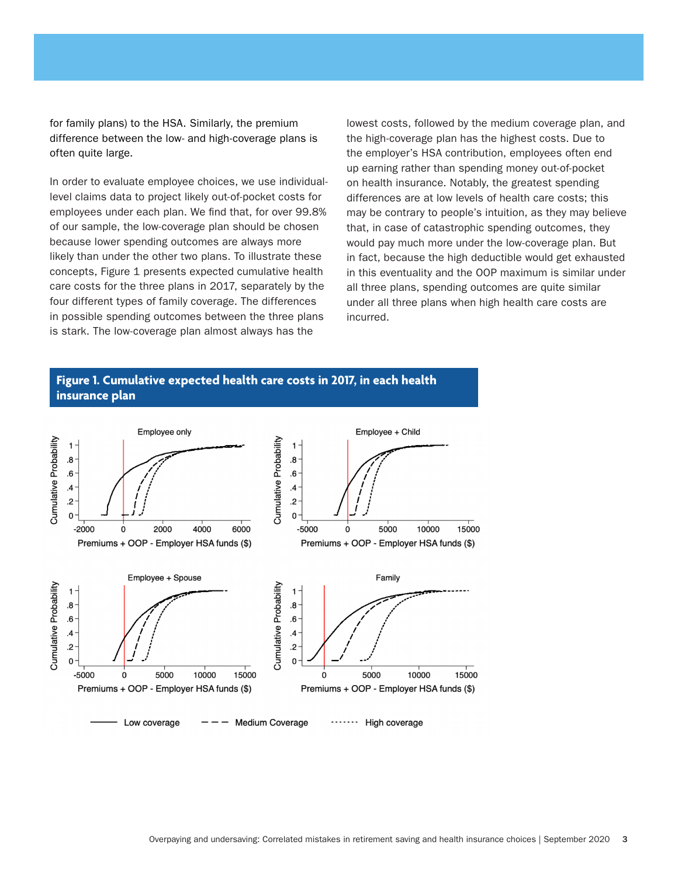for family plans) to the HSA. Similarly, the premium difference between the low- and high-coverage plans is often quite large.

In order to evaluate employee choices, we use individuallevel claims data to project likely out-of-pocket costs for employees under each plan. We find that, for over 99.8% of our sample, the low-coverage plan should be chosen because lower spending outcomes are always more likely than under the other two plans. To illustrate these concepts, Figure 1 presents expected cumulative health care costs for the three plans in 2017, separately by the four different types of family coverage. The differences in possible spending outcomes between the three plans is stark. The low-coverage plan almost always has the

lowest costs, followed by the medium coverage plan, and the high-coverage plan has the highest costs. Due to the employer's HSA contribution, employees often end up earning rather than spending money out-of-pocket on health insurance. Notably, the greatest spending differences are at low levels of health care costs; this may be contrary to people's intuition, as they may believe that, in case of catastrophic spending outcomes, they would pay much more under the low-coverage plan. But in fact, because the high deductible would get exhausted in this eventuality and the OOP maximum is similar under all three plans, spending outcomes are quite similar under all three plans when high health care costs are incurred.

#### **Figure 1. Cumulative expected health care costs in 2017, in each health insurance plan**

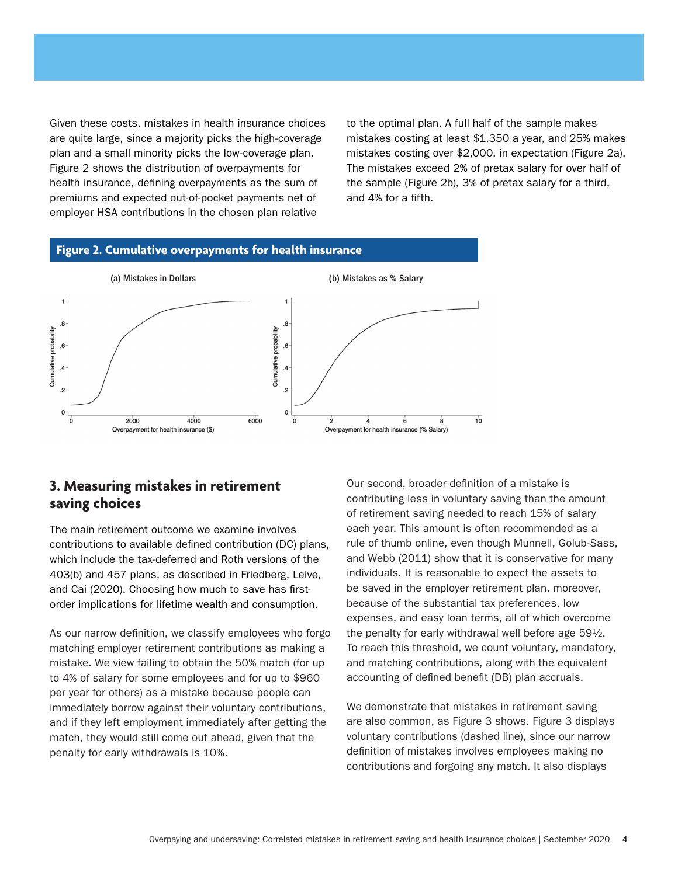Given these costs, mistakes in health insurance choices are quite large, since a majority picks the high-coverage plan and a small minority picks the low-coverage plan. Figure 2 shows the distribution of overpayments for health insurance, defining overpayments as the sum of premiums and expected out-of-pocket payments net of employer HSA contributions in the chosen plan relative

to the optimal plan. A full half of the sample makes mistakes costing at least \$1,350 a year, and 25% makes mistakes costing over \$2,000, in expectation (Figure 2a). The mistakes exceed 2% of pretax salary for over half of the sample (Figure 2b), 3% of pretax salary for a third, and 4% for a fifth.

#### **Figure 2. Cumulative overpayments for health insurance**



## **3. Measuring mistakes in retirement saving choices**

The main retirement outcome we examine involves contributions to available defined contribution (DC) plans, which include the tax-deferred and Roth versions of the 403(b) and 457 plans, as described in Friedberg, Leive, and Cai (2020). Choosing how much to save has firstorder implications for lifetime wealth and consumption.

As our narrow definition, we classify employees who forgo matching employer retirement contributions as making a mistake. We view failing to obtain the 50% match (for up to 4% of salary for some employees and for up to \$960 per year for others) as a mistake because people can immediately borrow against their voluntary contributions, and if they left employment immediately after getting the match, they would still come out ahead, given that the penalty for early withdrawals is 10%.

Our second, broader definition of a mistake is contributing less in voluntary saving than the amount of retirement saving needed to reach 15% of salary each year. This amount is often recommended as a rule of thumb online, even though Munnell, Golub-Sass, and Webb (2011) show that it is conservative for many individuals. It is reasonable to expect the assets to be saved in the employer retirement plan, moreover, because of the substantial tax preferences, low expenses, and easy loan terms, all of which overcome the penalty for early withdrawal well before age 59½. To reach this threshold, we count voluntary, mandatory, and matching contributions, along with the equivalent accounting of defined benefit (DB) plan accruals.

We demonstrate that mistakes in retirement saving are also common, as Figure 3 shows. Figure 3 displays voluntary contributions (dashed line), since our narrow definition of mistakes involves employees making no contributions and forgoing any match. It also displays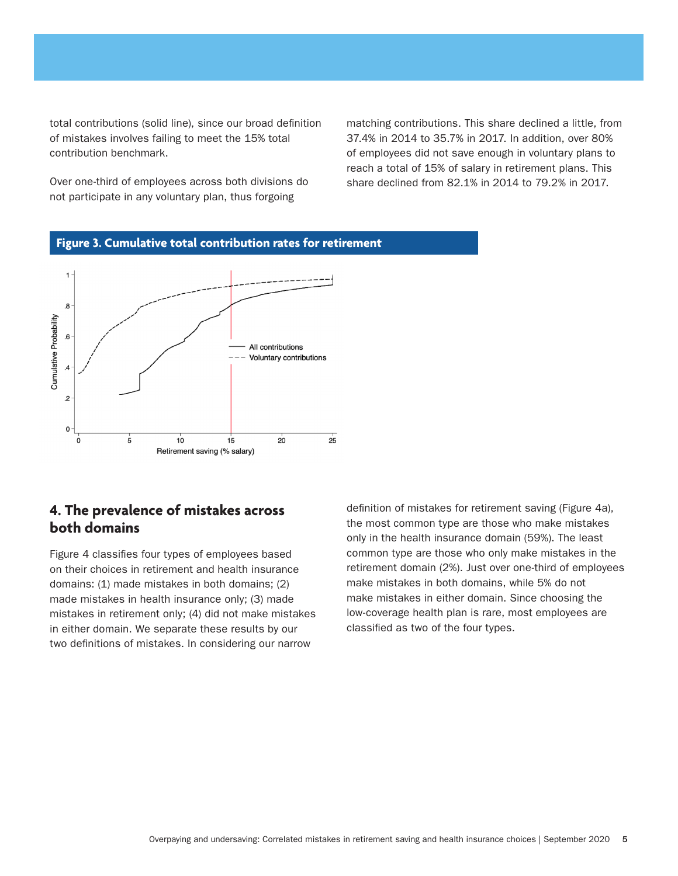total contributions (solid line), since our broad definition of mistakes involves failing to meet the 15% total contribution benchmark.

Over one-third of employees across both divisions do not participate in any voluntary plan, thus forgoing

matching contributions. This share declined a little, from 37.4% in 2014 to 35.7% in 2017. In addition, over 80% of employees did not save enough in voluntary plans to reach a total of 15% of salary in retirement plans. This share declined from 82.1% in 2014 to 79.2% in 2017.





# **4. The prevalence of mistakes across both domains**

Figure 4 classifies four types of employees based on their choices in retirement and health insurance domains: (1) made mistakes in both domains; (2) made mistakes in health insurance only; (3) made mistakes in retirement only; (4) did not make mistakes in either domain. We separate these results by our two definitions of mistakes. In considering our narrow

definition of mistakes for retirement saving (Figure 4a), the most common type are those who make mistakes only in the health insurance domain (59%). The least common type are those who only make mistakes in the retirement domain (2%). Just over one-third of employees make mistakes in both domains, while 5% do not make mistakes in either domain. Since choosing the low-coverage health plan is rare, most employees are classified as two of the four types.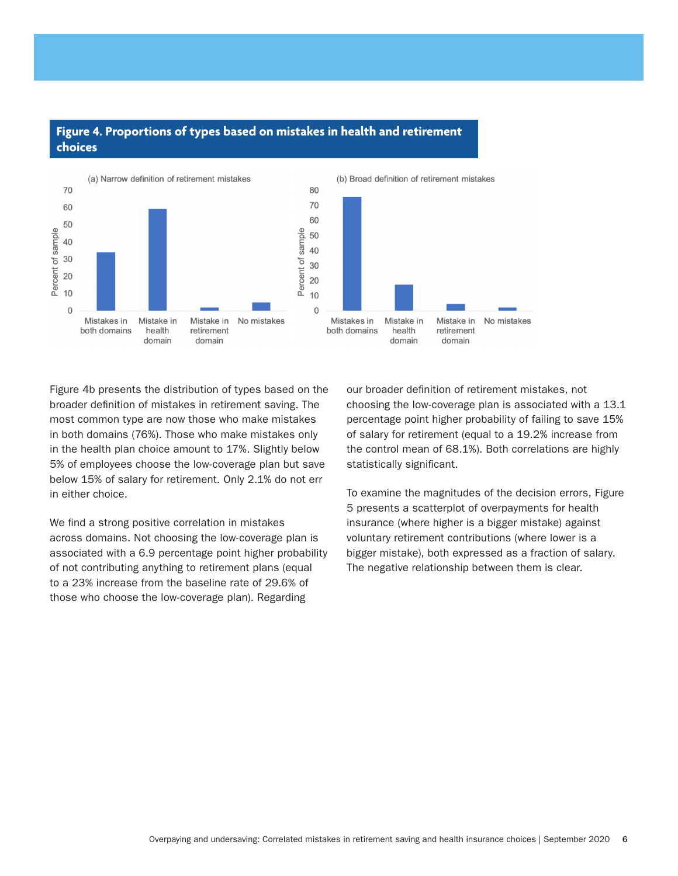#### **Figure 4. Proportions of types based on mistakes in health and retirement choices**



Figure 4b presents the distribution of types based on the broader definition of mistakes in retirement saving. The most common type are now those who make mistakes in both domains (76%). Those who make mistakes only in the health plan choice amount to 17%. Slightly below 5% of employees choose the low-coverage plan but save below 15% of salary for retirement. Only 2.1% do not err in either choice.

We find a strong positive correlation in mistakes across domains. Not choosing the low-coverage plan is associated with a 6.9 percentage point higher probability of not contributing anything to retirement plans (equal to a 23% increase from the baseline rate of 29.6% of those who choose the low-coverage plan). Regarding

our broader definition of retirement mistakes, not choosing the low-coverage plan is associated with a 13.1 percentage point higher probability of failing to save 15% of salary for retirement (equal to a 19.2% increase from the control mean of 68.1%). Both correlations are highly statistically significant.

To examine the magnitudes of the decision errors, Figure 5 presents a scatterplot of overpayments for health insurance (where higher is a bigger mistake) against voluntary retirement contributions (where lower is a bigger mistake), both expressed as a fraction of salary. The negative relationship between them is clear.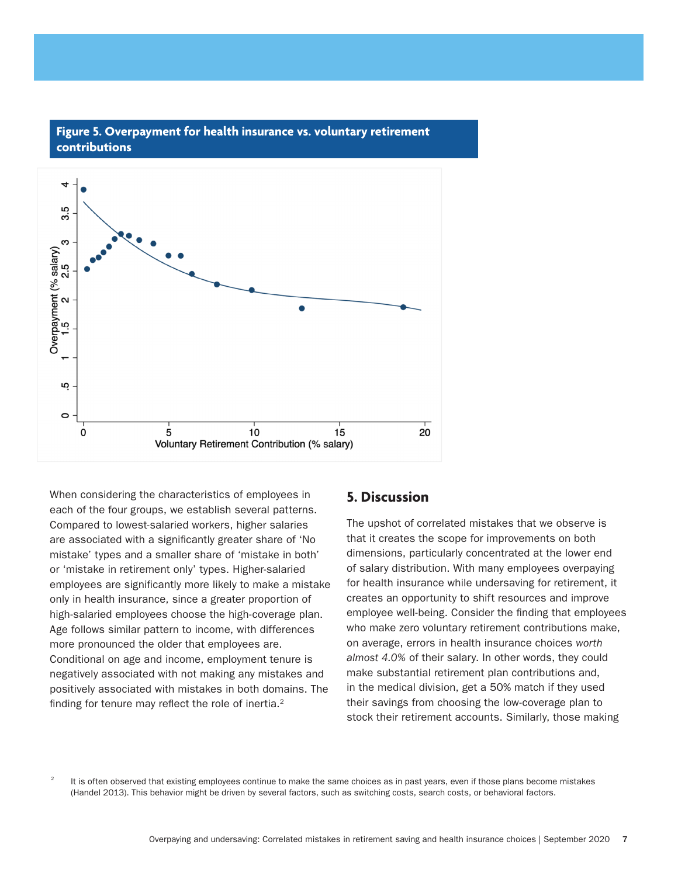

#### **Figure 5. Overpayment for health insurance vs. voluntary retirement contributions**

When considering the characteristics of employees in each of the four groups, we establish several patterns. Compared to lowest-salaried workers, higher salaries are associated with a significantly greater share of 'No mistake' types and a smaller share of 'mistake in both' or 'mistake in retirement only' types. Higher-salaried employees are significantly more likely to make a mistake only in health insurance, since a greater proportion of high-salaried employees choose the high-coverage plan. Age follows similar pattern to income, with differences more pronounced the older that employees are. Conditional on age and income, employment tenure is negatively associated with not making any mistakes and positively associated with mistakes in both domains. The finding for tenure may reflect the role of inertia. $2$ 

#### **5. Discussion**

The upshot of correlated mistakes that we observe is that it creates the scope for improvements on both dimensions, particularly concentrated at the lower end of salary distribution. With many employees overpaying for health insurance while undersaving for retirement, it creates an opportunity to shift resources and improve employee well-being. Consider the finding that employees who make zero voluntary retirement contributions make, on average, errors in health insurance choices *worth almost 4.0%* of their salary. In other words, they could make substantial retirement plan contributions and, in the medical division, get a 50% match if they used their savings from choosing the low-coverage plan to stock their retirement accounts. Similarly, those making

<sup>2</sup> It is often observed that existing employees continue to make the same choices as in past years, even if those plans become mistakes (Handel 2013). This behavior might be driven by several factors, such as switching costs, search costs, or behavioral factors.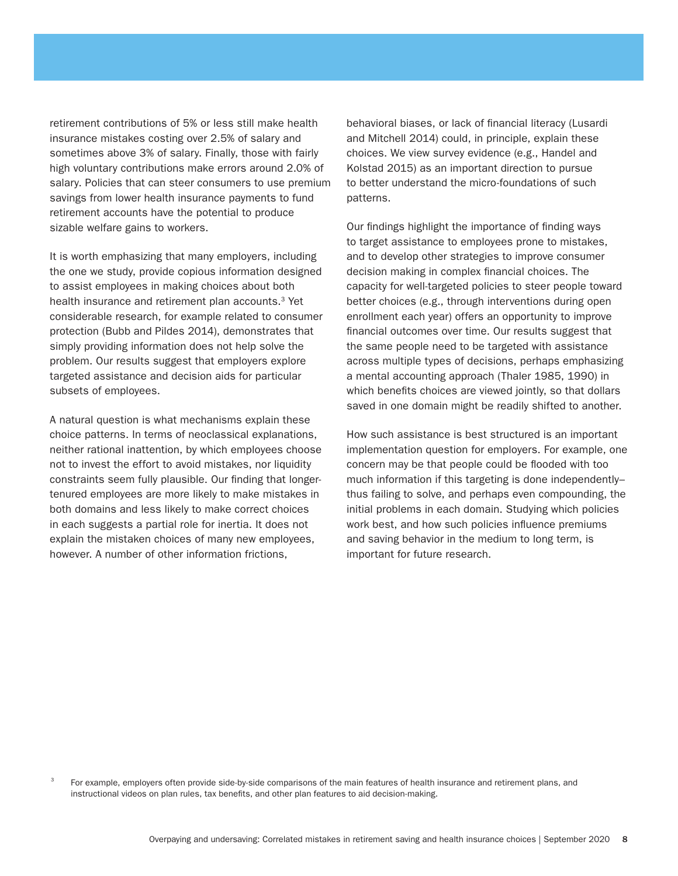retirement contributions of 5% or less still make health insurance mistakes costing over 2.5% of salary and sometimes above 3% of salary. Finally, those with fairly high voluntary contributions make errors around 2.0% of salary. Policies that can steer consumers to use premium savings from lower health insurance payments to fund retirement accounts have the potential to produce sizable welfare gains to workers.

It is worth emphasizing that many employers, including the one we study, provide copious information designed to assist employees in making choices about both health insurance and retirement plan accounts.<sup>3</sup> Yet considerable research, for example related to consumer protection (Bubb and Pildes 2014), demonstrates that simply providing information does not help solve the problem. Our results suggest that employers explore targeted assistance and decision aids for particular subsets of employees.

A natural question is what mechanisms explain these choice patterns. In terms of neoclassical explanations, neither rational inattention, by which employees choose not to invest the effort to avoid mistakes, nor liquidity constraints seem fully plausible. Our finding that longertenured employees are more likely to make mistakes in both domains and less likely to make correct choices in each suggests a partial role for inertia. It does not explain the mistaken choices of many new employees, however. A number of other information frictions,

behavioral biases, or lack of financial literacy (Lusardi and Mitchell 2014) could, in principle, explain these choices. We view survey evidence (e.g., Handel and Kolstad 2015) as an important direction to pursue to better understand the micro-foundations of such patterns.

Our findings highlight the importance of finding ways to target assistance to employees prone to mistakes, and to develop other strategies to improve consumer decision making in complex financial choices. The capacity for well-targeted policies to steer people toward better choices (e.g., through interventions during open enrollment each year) offers an opportunity to improve financial outcomes over time. Our results suggest that the same people need to be targeted with assistance across multiple types of decisions, perhaps emphasizing a mental accounting approach (Thaler 1985, 1990) in which benefits choices are viewed jointly, so that dollars saved in one domain might be readily shifted to another.

How such assistance is best structured is an important implementation question for employers. For example, one concern may be that people could be flooded with too much information if this targeting is done independently– thus failing to solve, and perhaps even compounding, the initial problems in each domain. Studying which policies work best, and how such policies influence premiums and saving behavior in the medium to long term, is important for future research.

For example, employers often provide side-by-side comparisons of the main features of health insurance and retirement plans, and instructional videos on plan rules, tax benefits, and other plan features to aid decision-making.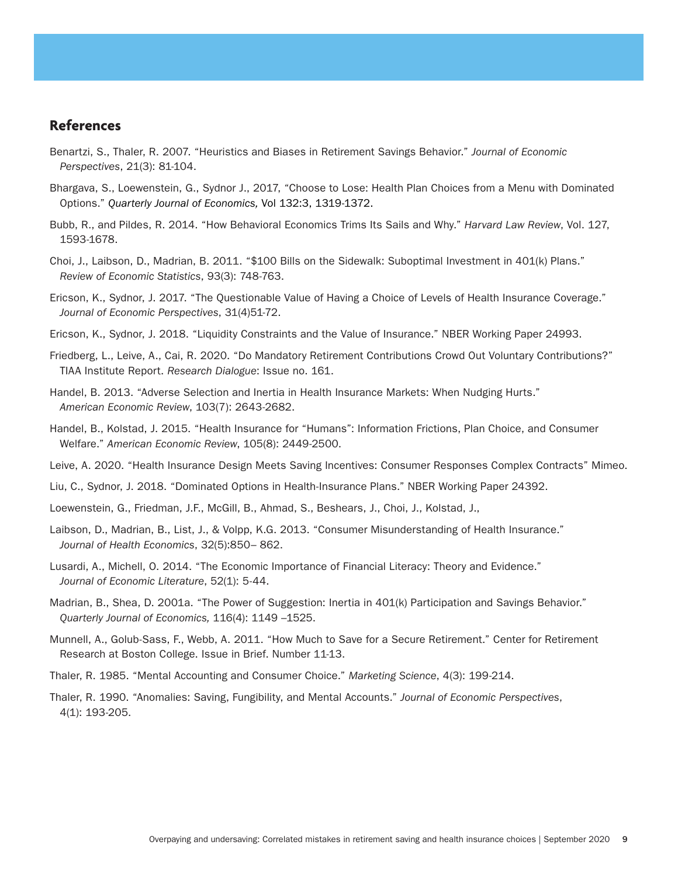#### **References**

- Benartzi, S., Thaler, R. 2007. "Heuristics and Biases in Retirement Savings Behavior." *Journal of Economic Perspectives*, 21(3): 81-104.
- Bhargava, S., Loewenstein, G., Sydnor J., 2017, "Choose to Lose: Health Plan Choices from a Menu with Dominated Options." *Quarterly Journal of Economics,* Vol 132:3, 1319-1372.
- Bubb, R., and Pildes, R. 2014. "How Behavioral Economics Trims Its Sails and Why." *Harvard Law Review*, Vol. 127, 1593-1678.
- Choi, J., Laibson, D., Madrian, B. 2011. "\$100 Bills on the Sidewalk: Suboptimal Investment in 401(k) Plans." *Review of Economic Statistics*, 93(3): 748-763.
- Ericson, K., Sydnor, J. 2017. "The Questionable Value of Having a Choice of Levels of Health Insurance Coverage." *Journal of Economic Perspectives*, 31(4)51-72.
- Ericson, K., Sydnor, J. 2018. "Liquidity Constraints and the Value of Insurance." NBER Working Paper 24993.
- Friedberg, L., Leive, A., Cai, R. 2020. "Do Mandatory Retirement Contributions Crowd Out Voluntary Contributions?" TIAA Institute Report. *Research Dialogue*: Issue no. 161.
- Handel, B. 2013. "Adverse Selection and Inertia in Health Insurance Markets: When Nudging Hurts." *American Economic Review*, 103(7): 2643-2682.
- Handel, B., Kolstad, J. 2015. "Health Insurance for "Humans": Information Frictions, Plan Choice, and Consumer Welfare." *American Economic Review*, 105(8): 2449-2500.
- Leive, A. 2020. "Health Insurance Design Meets Saving Incentives: Consumer Responses Complex Contracts" Mimeo.
- Liu, C., Sydnor, J. 2018. "Dominated Options in Health-Insurance Plans." NBER Working Paper 24392.
- Loewenstein, G., Friedman, J.F., McGill, B., Ahmad, S., Beshears, J., Choi, J., Kolstad, J.,
- Laibson, D., Madrian, B., List, J., & Volpp, K.G. 2013. "Consumer Misunderstanding of Health Insurance." *Journal of Health Economics*, 32(5):850– 862.
- Lusardi, A., Michell, O. 2014. "The Economic Importance of Financial Literacy: Theory and Evidence." *Journal of Economic Literature*, 52(1): 5-44.
- Madrian, B., Shea, D. 2001a. "The Power of Suggestion: Inertia in 401(k) Participation and Savings Behavior." *Quarterly Journal of Economics,* 116(4): 1149 –1525.
- Munnell, A., Golub-Sass, F., Webb, A. 2011. "How Much to Save for a Secure Retirement." Center for Retirement Research at Boston College. Issue in Brief. Number 11-13.
- Thaler, R. 1985. "Mental Accounting and Consumer Choice." *Marketing Science*, 4(3): 199-214.
- Thaler, R. 1990. "Anomalies: Saving, Fungibility, and Mental Accounts." *Journal of Economic Perspectives*, 4(1): 193-205.